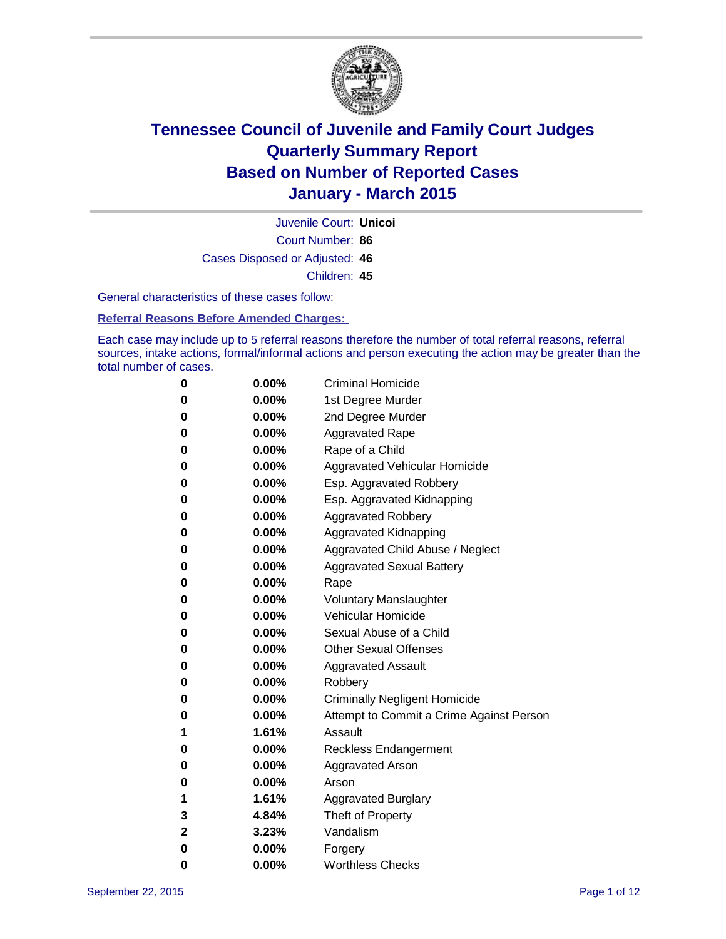

Court Number: **86** Juvenile Court: **Unicoi** Cases Disposed or Adjusted: **46** Children: **45**

General characteristics of these cases follow:

### **Referral Reasons Before Amended Charges:**

Each case may include up to 5 referral reasons therefore the number of total referral reasons, referral sources, intake actions, formal/informal actions and person executing the action may be greater than the total number of cases.

| 0            | $0.00\%$ | <b>Criminal Homicide</b>                 |
|--------------|----------|------------------------------------------|
| 0            | $0.00\%$ | 1st Degree Murder                        |
| 0            | $0.00\%$ | 2nd Degree Murder                        |
| 0            | $0.00\%$ | <b>Aggravated Rape</b>                   |
| 0            | $0.00\%$ | Rape of a Child                          |
| 0            | $0.00\%$ | <b>Aggravated Vehicular Homicide</b>     |
| 0            | $0.00\%$ | Esp. Aggravated Robbery                  |
| 0            | $0.00\%$ | Esp. Aggravated Kidnapping               |
| 0            | $0.00\%$ | <b>Aggravated Robbery</b>                |
| 0            | $0.00\%$ | Aggravated Kidnapping                    |
| 0            | $0.00\%$ | Aggravated Child Abuse / Neglect         |
| 0            | $0.00\%$ | <b>Aggravated Sexual Battery</b>         |
| $\bf{0}$     | $0.00\%$ | Rape                                     |
| 0            | $0.00\%$ | <b>Voluntary Manslaughter</b>            |
| 0            | $0.00\%$ | <b>Vehicular Homicide</b>                |
| 0            | $0.00\%$ | Sexual Abuse of a Child                  |
| $\bf{0}$     | $0.00\%$ | <b>Other Sexual Offenses</b>             |
| 0            | $0.00\%$ | <b>Aggravated Assault</b>                |
| 0            | $0.00\%$ | Robbery                                  |
| 0            | $0.00\%$ | <b>Criminally Negligent Homicide</b>     |
| 0            | $0.00\%$ | Attempt to Commit a Crime Against Person |
| 1            | 1.61%    | Assault                                  |
| 0            | $0.00\%$ | <b>Reckless Endangerment</b>             |
| 0            | $0.00\%$ | <b>Aggravated Arson</b>                  |
| 0            | $0.00\%$ | Arson                                    |
| 1            | 1.61%    | <b>Aggravated Burglary</b>               |
| 3            | 4.84%    | Theft of Property                        |
| $\mathbf{2}$ | 3.23%    | Vandalism                                |
| $\bf{0}$     | 0.00%    | Forgery                                  |
| 0            | 0.00%    | <b>Worthless Checks</b>                  |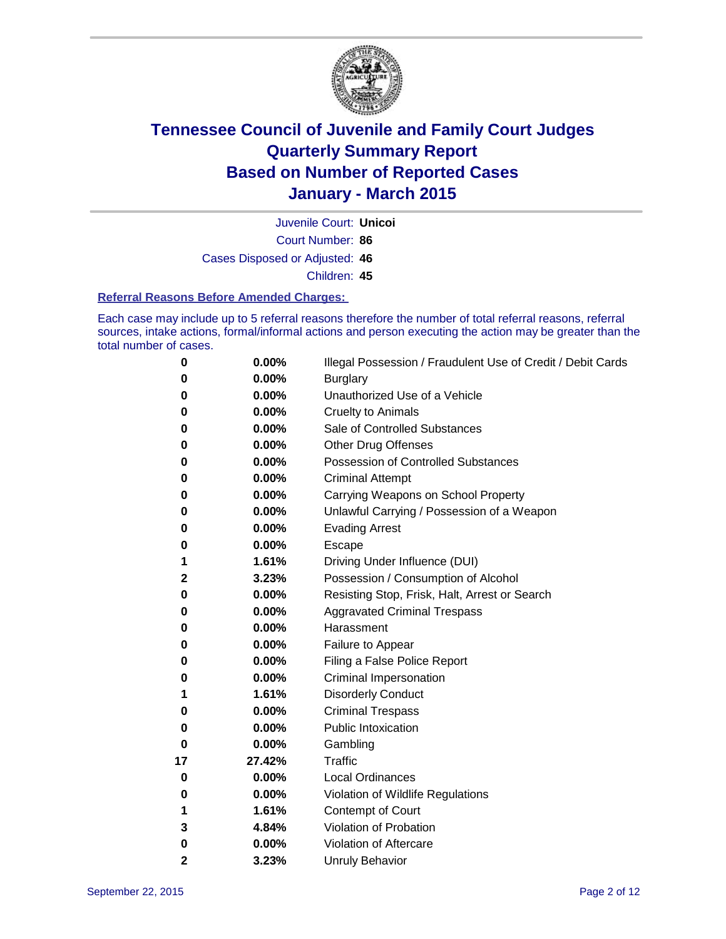

Court Number: **86** Juvenile Court: **Unicoi** Cases Disposed or Adjusted: **46** Children: **45**

#### **Referral Reasons Before Amended Charges:**

Each case may include up to 5 referral reasons therefore the number of total referral reasons, referral sources, intake actions, formal/informal actions and person executing the action may be greater than the total number of cases.

| 0        | 0.00%  | Illegal Possession / Fraudulent Use of Credit / Debit Cards |
|----------|--------|-------------------------------------------------------------|
| 0        | 0.00%  | <b>Burglary</b>                                             |
| 0        | 0.00%  | Unauthorized Use of a Vehicle                               |
| 0        | 0.00%  | <b>Cruelty to Animals</b>                                   |
| 0        | 0.00%  | Sale of Controlled Substances                               |
| 0        | 0.00%  | <b>Other Drug Offenses</b>                                  |
| 0        | 0.00%  | Possession of Controlled Substances                         |
| 0        | 0.00%  | <b>Criminal Attempt</b>                                     |
| 0        | 0.00%  | Carrying Weapons on School Property                         |
| 0        | 0.00%  | Unlawful Carrying / Possession of a Weapon                  |
| 0        | 0.00%  | <b>Evading Arrest</b>                                       |
| 0        | 0.00%  | Escape                                                      |
| 1        | 1.61%  | Driving Under Influence (DUI)                               |
| 2        | 3.23%  | Possession / Consumption of Alcohol                         |
| 0        | 0.00%  | Resisting Stop, Frisk, Halt, Arrest or Search               |
| 0        | 0.00%  | <b>Aggravated Criminal Trespass</b>                         |
| 0        | 0.00%  | Harassment                                                  |
| 0        | 0.00%  | Failure to Appear                                           |
| 0        | 0.00%  | Filing a False Police Report                                |
| 0        | 0.00%  | Criminal Impersonation                                      |
| 1        | 1.61%  | <b>Disorderly Conduct</b>                                   |
| 0        | 0.00%  | <b>Criminal Trespass</b>                                    |
| 0        | 0.00%  | <b>Public Intoxication</b>                                  |
| $\bf{0}$ | 0.00%  | Gambling                                                    |
| 17       | 27.42% | <b>Traffic</b>                                              |
| 0        | 0.00%  | <b>Local Ordinances</b>                                     |
| 0        | 0.00%  | Violation of Wildlife Regulations                           |
| 1        | 1.61%  | Contempt of Court                                           |
| 3        | 4.84%  | Violation of Probation                                      |
| 0        | 0.00%  | Violation of Aftercare                                      |
| 2        | 3.23%  | <b>Unruly Behavior</b>                                      |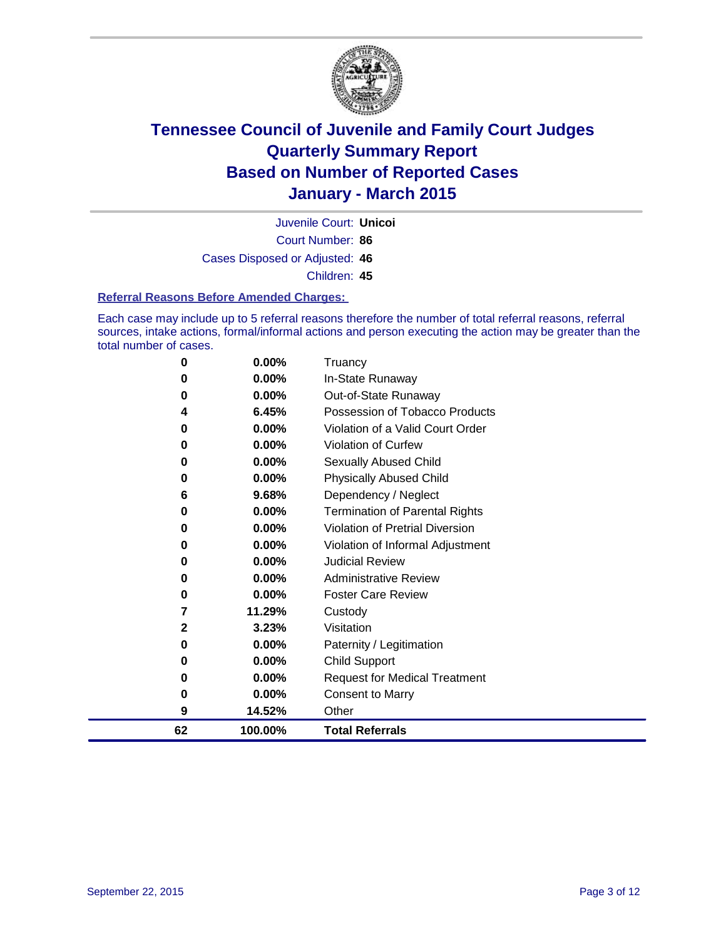

Court Number: **86** Juvenile Court: **Unicoi** Cases Disposed or Adjusted: **46** Children: **45**

### **Referral Reasons Before Amended Charges:**

Each case may include up to 5 referral reasons therefore the number of total referral reasons, referral sources, intake actions, formal/informal actions and person executing the action may be greater than the total number of cases.

| 0           | 0.00%    | Truancy                               |
|-------------|----------|---------------------------------------|
| 0           | $0.00\%$ | In-State Runaway                      |
| 0           | 0.00%    | Out-of-State Runaway                  |
| 4           | 6.45%    | Possession of Tobacco Products        |
| 0           | 0.00%    | Violation of a Valid Court Order      |
| 0           | 0.00%    | <b>Violation of Curfew</b>            |
| 0           | 0.00%    | Sexually Abused Child                 |
| 0           | 0.00%    | <b>Physically Abused Child</b>        |
| 6           | 9.68%    | Dependency / Neglect                  |
| 0           | $0.00\%$ | <b>Termination of Parental Rights</b> |
| 0           | 0.00%    | Violation of Pretrial Diversion       |
| 0           | 0.00%    | Violation of Informal Adjustment      |
| 0           | $0.00\%$ | <b>Judicial Review</b>                |
| 0           | 0.00%    | <b>Administrative Review</b>          |
| 0           | $0.00\%$ | <b>Foster Care Review</b>             |
| 7           | 11.29%   | Custody                               |
| $\mathbf 2$ | 3.23%    | Visitation                            |
| 0           | $0.00\%$ | Paternity / Legitimation              |
| 0           | 0.00%    | <b>Child Support</b>                  |
| 0           | $0.00\%$ | <b>Request for Medical Treatment</b>  |
| 0           | 0.00%    | <b>Consent to Marry</b>               |
| 9           | 14.52%   | Other                                 |
| 62          | 100.00%  | <b>Total Referrals</b>                |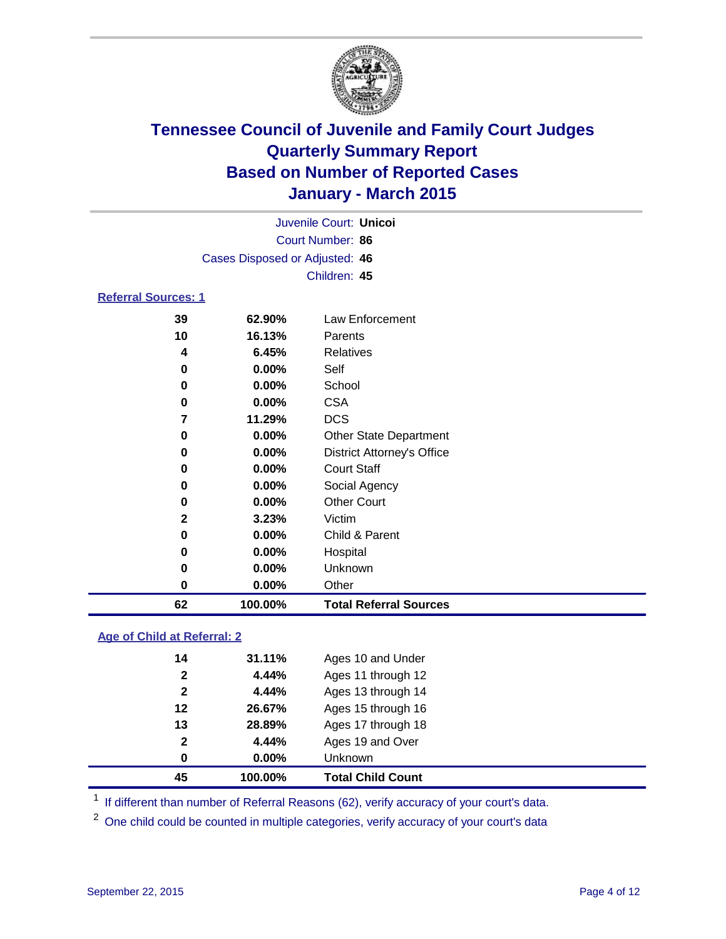

| Juvenile Court: Unicol         |  |
|--------------------------------|--|
| Court Number: 86               |  |
| Cases Disposed or Adjusted: 46 |  |
| Children: 45                   |  |
| <b>Referral Sources: 1</b>     |  |

| 62           | 100.00%  | <b>Total Referral Sources</b>     |
|--------------|----------|-----------------------------------|
| 0            | $0.00\%$ | Other                             |
| 0            | $0.00\%$ | Unknown                           |
| 0            | $0.00\%$ | Hospital                          |
| 0            | $0.00\%$ | Child & Parent                    |
| $\mathbf{2}$ | 3.23%    | Victim                            |
| 0            | $0.00\%$ | <b>Other Court</b>                |
| 0            | $0.00\%$ | Social Agency                     |
| 0            | $0.00\%$ | <b>Court Staff</b>                |
| 0            | $0.00\%$ | <b>District Attorney's Office</b> |
| 0            | $0.00\%$ | <b>Other State Department</b>     |
| 7            | 11.29%   | <b>DCS</b>                        |
| 0            | $0.00\%$ | <b>CSA</b>                        |
| 0            | 0.00%    | School                            |
| 0            | $0.00\%$ | Self                              |
| 4            | 6.45%    | Relatives                         |
| 10           | 16.13%   | Parents                           |
| 39           | 62.90%   | Law Enforcement                   |

### **Age of Child at Referral: 2**

| 45           | 100.00%  | <b>Total Child Count</b> |
|--------------|----------|--------------------------|
| 0            | $0.00\%$ | <b>Unknown</b>           |
| $\mathbf{2}$ | 4.44%    | Ages 19 and Over         |
| 13           | 28.89%   | Ages 17 through 18       |
| 12           | 26.67%   | Ages 15 through 16       |
| $\mathbf{2}$ | 4.44%    | Ages 13 through 14       |
| $\mathbf{2}$ | 4.44%    | Ages 11 through 12       |
| 14           | 31.11%   | Ages 10 and Under        |

<sup>1</sup> If different than number of Referral Reasons (62), verify accuracy of your court's data.

One child could be counted in multiple categories, verify accuracy of your court's data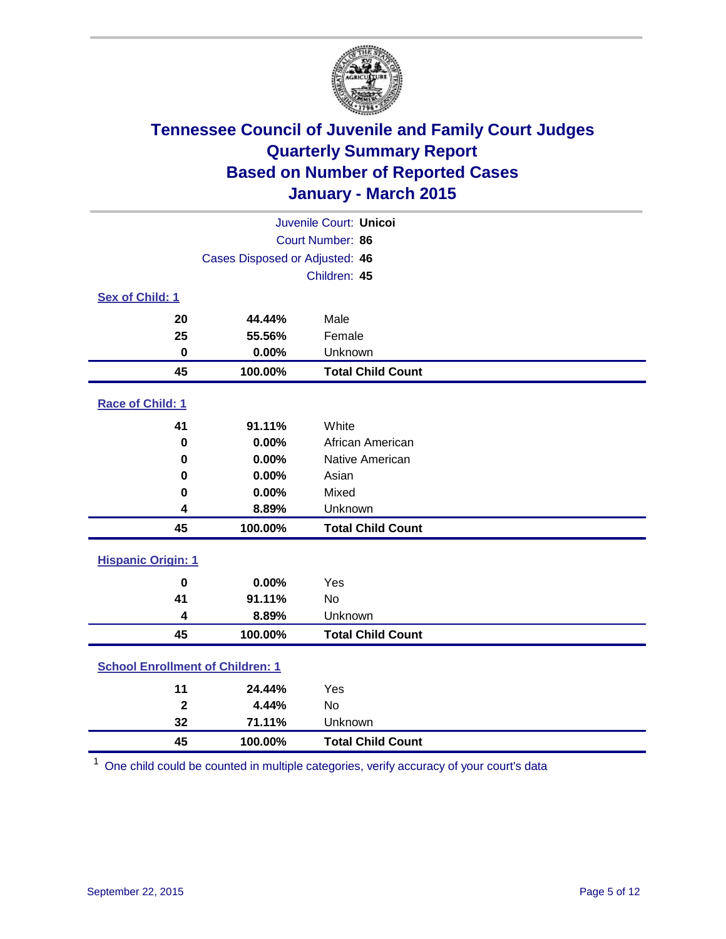

| Juvenile Court: Unicoi                  |         |                          |  |  |
|-----------------------------------------|---------|--------------------------|--|--|
| Court Number: 86                        |         |                          |  |  |
| Cases Disposed or Adjusted: 46          |         |                          |  |  |
|                                         |         | Children: 45             |  |  |
| Sex of Child: 1                         |         |                          |  |  |
| 20                                      | 44.44%  | Male                     |  |  |
| 25                                      | 55.56%  | Female                   |  |  |
| $\mathbf 0$                             | 0.00%   | Unknown                  |  |  |
| 45                                      | 100.00% | <b>Total Child Count</b> |  |  |
| Race of Child: 1                        |         |                          |  |  |
| 41                                      | 91.11%  | White                    |  |  |
| $\bf{0}$                                | 0.00%   | African American         |  |  |
| 0                                       | 0.00%   | Native American          |  |  |
| $\bf{0}$                                | 0.00%   | Asian                    |  |  |
| 0                                       | 0.00%   | Mixed                    |  |  |
| 4                                       | 8.89%   | Unknown                  |  |  |
| 45                                      | 100.00% | <b>Total Child Count</b> |  |  |
| <b>Hispanic Origin: 1</b>               |         |                          |  |  |
| $\bf{0}$                                | 0.00%   | Yes                      |  |  |
| 41                                      | 91.11%  | <b>No</b>                |  |  |
| 4                                       | 8.89%   | Unknown                  |  |  |
| 45                                      | 100.00% | <b>Total Child Count</b> |  |  |
| <b>School Enrollment of Children: 1</b> |         |                          |  |  |
| 11                                      | 24.44%  | Yes                      |  |  |
| $\mathbf{2}$                            | 4.44%   | No                       |  |  |
| 32                                      | 71.11%  | Unknown                  |  |  |
| 45                                      | 100.00% | <b>Total Child Count</b> |  |  |

One child could be counted in multiple categories, verify accuracy of your court's data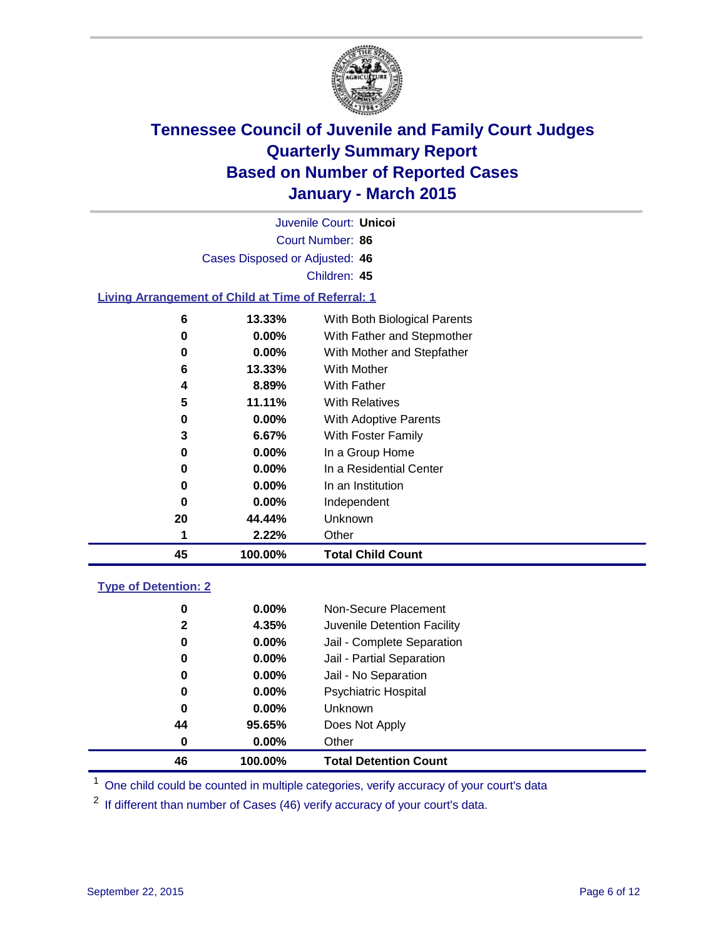

Court Number: **86** Juvenile Court: **Unicoi** Cases Disposed or Adjusted: **46** Children: **45**

### **Living Arrangement of Child at Time of Referral: 1**

| 45 | 100.00%  | <b>Total Child Count</b>     |
|----|----------|------------------------------|
|    | 2.22%    | Other                        |
| 20 | 44.44%   | Unknown                      |
| 0  | 0.00%    | Independent                  |
| 0  | 0.00%    | In an Institution            |
| 0  | 0.00%    | In a Residential Center      |
| 0  | 0.00%    | In a Group Home              |
| 3  | 6.67%    | With Foster Family           |
| 0  | $0.00\%$ | <b>With Adoptive Parents</b> |
| 5  | 11.11%   | <b>With Relatives</b>        |
| 4  | 8.89%    | With Father                  |
| 6  | 13.33%   | With Mother                  |
| 0  | $0.00\%$ | With Mother and Stepfather   |
| 0  | 0.00%    | With Father and Stepmother   |
| 6  | 13.33%   | With Both Biological Parents |
|    |          |                              |

### **Type of Detention: 2**

| 0<br>2<br>0<br>0<br>0<br>0<br>0<br>44 | $0.00\%$<br>4.35%<br>$0.00\%$<br>$0.00\%$<br>$0.00\%$<br>$0.00\%$<br>$0.00\%$<br>95.65% | Non-Secure Placement<br>Juvenile Detention Facility<br>Jail - Complete Separation<br>Jail - Partial Separation<br>Jail - No Separation<br><b>Psychiatric Hospital</b><br><b>Unknown</b><br>Does Not Apply |
|---------------------------------------|-----------------------------------------------------------------------------------------|-----------------------------------------------------------------------------------------------------------------------------------------------------------------------------------------------------------|
| 0                                     | $0.00\%$                                                                                | Other                                                                                                                                                                                                     |
| 46                                    | 100.00%                                                                                 | <b>Total Detention Count</b>                                                                                                                                                                              |

<sup>1</sup> One child could be counted in multiple categories, verify accuracy of your court's data

If different than number of Cases (46) verify accuracy of your court's data.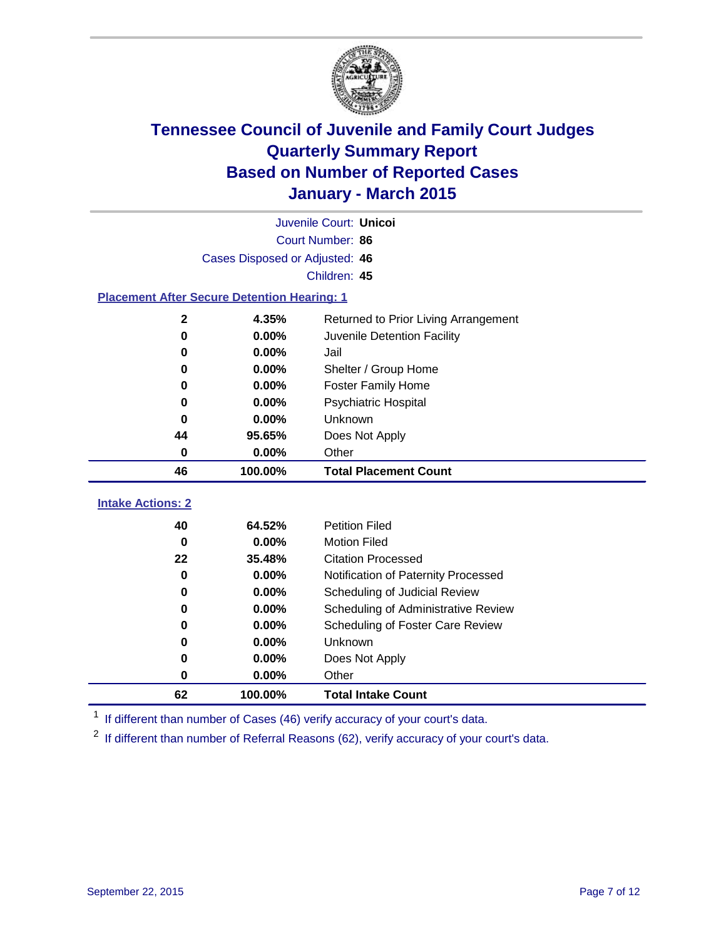

|                                                    |                                | Juvenile Court: Unicoi               |
|----------------------------------------------------|--------------------------------|--------------------------------------|
|                                                    |                                | Court Number: 86                     |
|                                                    | Cases Disposed or Adjusted: 46 |                                      |
|                                                    |                                | Children: 45                         |
| <b>Placement After Secure Detention Hearing: 1</b> |                                |                                      |
| $\mathbf 2$                                        | 4.35%                          | Returned to Prior Living Arrangement |
| 0                                                  | 0.00%                          | Juvenile Detention Facility          |
| 0                                                  | 0.00%                          | Jail                                 |
| 0                                                  | 0.00%                          | Shelter / Group Home                 |
| $\bf{0}$                                           | 0.00%                          | <b>Foster Family Home</b>            |
| 0                                                  | 0.00%                          | <b>Psychiatric Hospital</b>          |
| $\bf{0}$                                           | 0.00%                          | Unknown                              |
| 44                                                 | 95.65%                         | Does Not Apply                       |
| 0                                                  | 0.00%                          | Other                                |
| 46                                                 | 100.00%                        | <b>Total Placement Count</b>         |
| <b>Intake Actions: 2</b>                           |                                |                                      |
| 40                                                 | 64.52%                         | <b>Petition Filed</b>                |
| $\bf{0}$                                           | 0.00%                          | <b>Motion Filed</b>                  |
| 22                                                 | 35.48%                         | <b>Citation Processed</b>            |
| 0                                                  | 0.00%                          | Notification of Paternity Processed  |
| 0                                                  | 0.00%                          | Scheduling of Judicial Review        |
| 0                                                  | 0.00%                          | Scheduling of Administrative Review  |
| 0                                                  | 0.00%                          | Scheduling of Foster Care Review     |
| 0                                                  | 0.00%                          | Unknown                              |
| 0                                                  | 0.00%                          | Does Not Apply                       |
| 0                                                  | 0.00%                          | Other                                |

<sup>1</sup> If different than number of Cases (46) verify accuracy of your court's data.

**100.00% Total Intake Count**

<sup>2</sup> If different than number of Referral Reasons (62), verify accuracy of your court's data.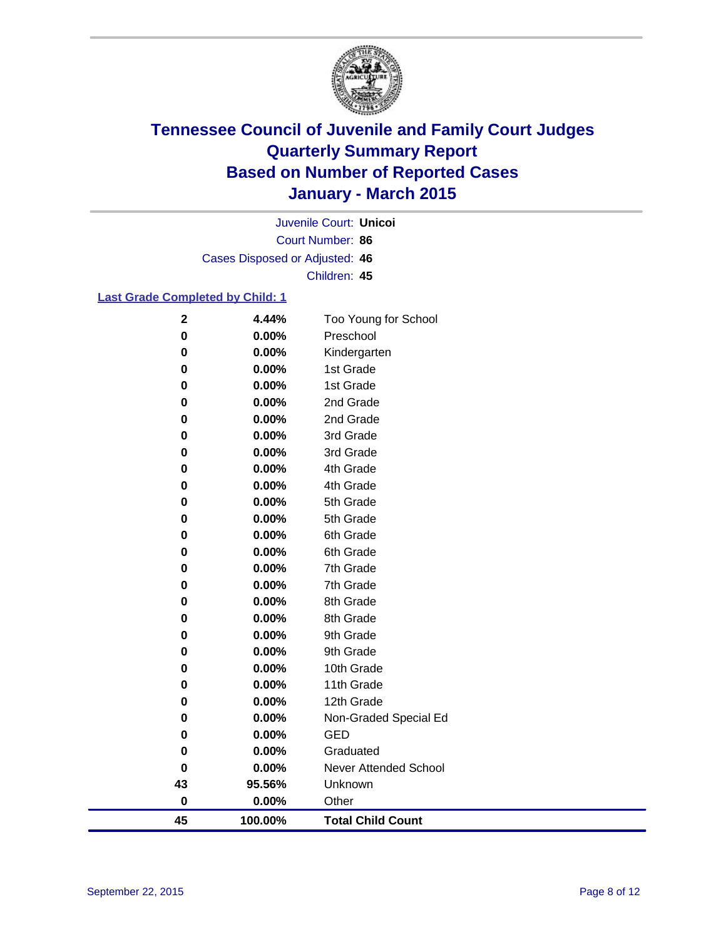

Court Number: **86** Juvenile Court: **Unicoi** Cases Disposed or Adjusted: **46** Children: **45**

### **Last Grade Completed by Child: 1**

| 45           | 100.00%        | <b>Total Child Count</b>  |
|--------------|----------------|---------------------------|
| 0            | 0.00%          | Other                     |
| 43           | 95.56%         | Unknown                   |
| 0            | 0.00%          | Never Attended School     |
| 0            | 0.00%          | Graduated                 |
| 0            | 0.00%          | <b>GED</b>                |
| 0            | 0.00%          | Non-Graded Special Ed     |
| 0            | 0.00%          | 12th Grade                |
| 0            | 0.00%          | 11th Grade                |
| 0            | 0.00%          | 10th Grade                |
| 0            | 0.00%          | 9th Grade                 |
| 0            | 0.00%          | 9th Grade                 |
| 0            | 0.00%          | 8th Grade                 |
| 0            | 0.00%          | 8th Grade                 |
| 0            | 0.00%          | 7th Grade                 |
| 0            | 0.00%          | 7th Grade                 |
| 0            | 0.00%          | 6th Grade                 |
| 0            | 0.00%          | 6th Grade                 |
| 0            | 0.00%          | 5th Grade                 |
| 0            | 0.00%          | 5th Grade                 |
| 0            | 0.00%          | 4th Grade                 |
| 0            | 0.00%          | 4th Grade                 |
| 0            | 0.00%          | 3rd Grade                 |
| 0            | 0.00%          | 3rd Grade                 |
| 0            | 0.00%          | 2nd Grade                 |
| 0<br>0       | 0.00%          | 2nd Grade                 |
| 0            | 0.00%<br>0.00% | 1st Grade                 |
| 0            | 0.00%          | Kindergarten<br>1st Grade |
| 0            | 0.00%          | Preschool                 |
| $\mathbf{2}$ | 4.44%          | Too Young for School      |
|              |                |                           |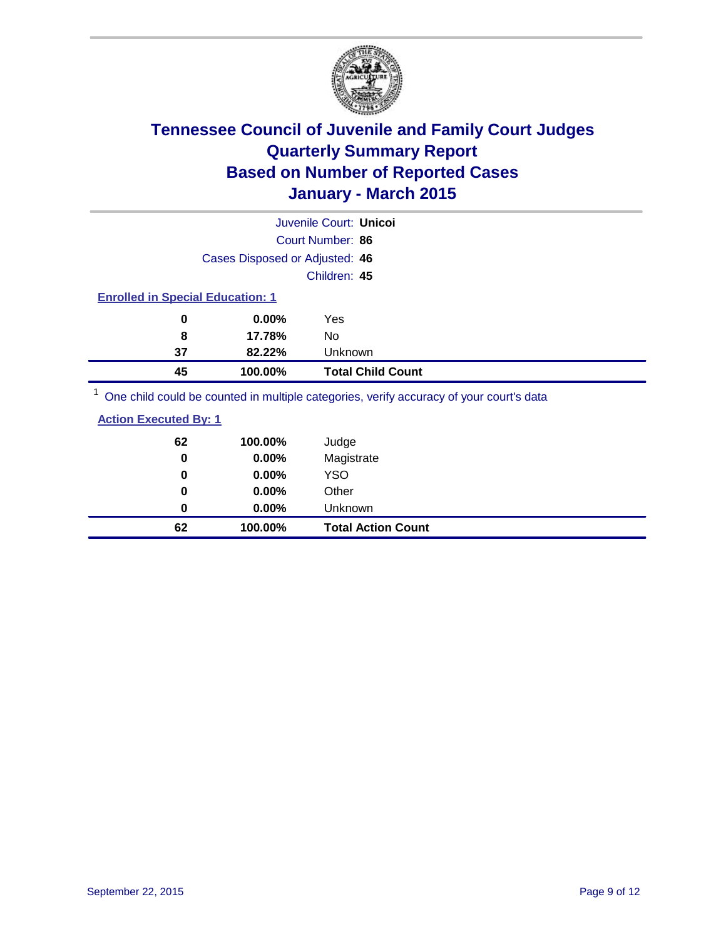

|                                         |                                | Juvenile Court: Unicol                                                                  |  |  |
|-----------------------------------------|--------------------------------|-----------------------------------------------------------------------------------------|--|--|
|                                         |                                | Court Number: 86                                                                        |  |  |
|                                         | Cases Disposed or Adjusted: 46 |                                                                                         |  |  |
|                                         |                                | Children: 45                                                                            |  |  |
| <b>Enrolled in Special Education: 1</b> |                                |                                                                                         |  |  |
| 0                                       | $0.00\%$                       | Yes                                                                                     |  |  |
| 8                                       | 17.78%                         | No                                                                                      |  |  |
| 37                                      | 82.22%                         | Unknown                                                                                 |  |  |
| 45                                      | 100.00%                        | <b>Total Child Count</b>                                                                |  |  |
|                                         |                                | One objet could be counted in multiple optogeties, verify acouragy of your courtie data |  |  |

<sup>1</sup> One child could be counted in multiple categories, verify accuracy of your court's data

| <b>Action Executed By: 1</b> |
|------------------------------|
|------------------------------|

| 62<br>0 | 100.00%<br>0.00% | Judge<br>Magistrate       |
|---------|------------------|---------------------------|
| 0       | $0.00\%$         | <b>YSO</b>                |
| 0       | 0.00%            | Other                     |
| 0       | $0.00\%$         | Unknown                   |
| 62      | 100.00%          | <b>Total Action Count</b> |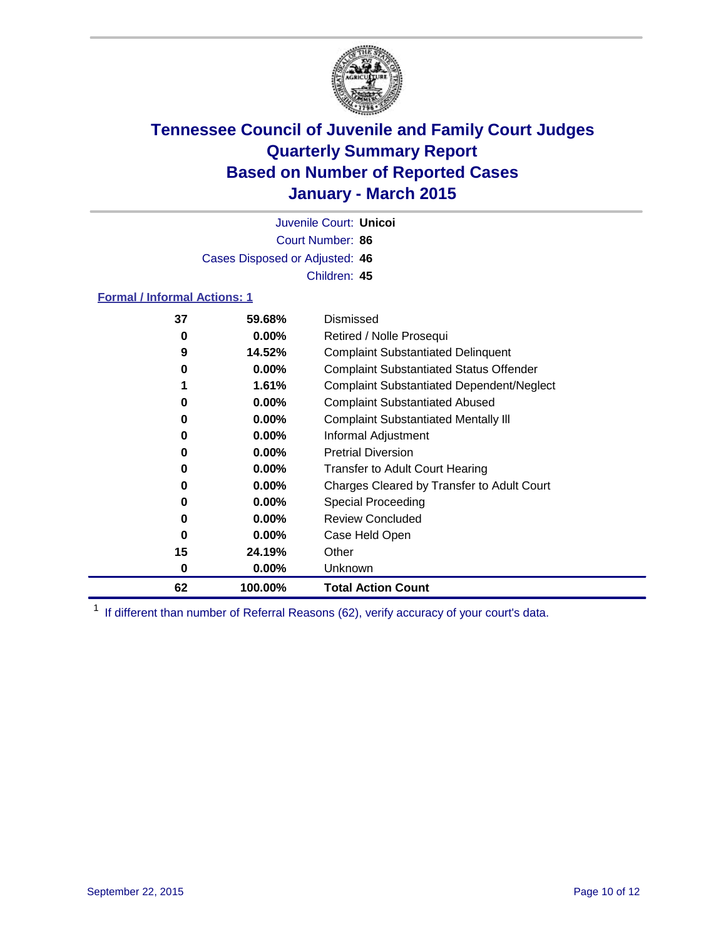

Court Number: **86** Juvenile Court: **Unicoi** Cases Disposed or Adjusted: **46** Children: **45**

### **Formal / Informal Actions: 1**

| 37 | 59.68%   | Dismissed                                        |
|----|----------|--------------------------------------------------|
| 0  | $0.00\%$ | Retired / Nolle Prosequi                         |
| 9  | 14.52%   | <b>Complaint Substantiated Delinquent</b>        |
| 0  | $0.00\%$ | <b>Complaint Substantiated Status Offender</b>   |
|    | 1.61%    | <b>Complaint Substantiated Dependent/Neglect</b> |
| 0  | $0.00\%$ | <b>Complaint Substantiated Abused</b>            |
| 0  | $0.00\%$ | <b>Complaint Substantiated Mentally III</b>      |
| 0  | $0.00\%$ | Informal Adjustment                              |
| 0  | $0.00\%$ | <b>Pretrial Diversion</b>                        |
| 0  | $0.00\%$ | <b>Transfer to Adult Court Hearing</b>           |
| 0  | $0.00\%$ | Charges Cleared by Transfer to Adult Court       |
| 0  | $0.00\%$ | Special Proceeding                               |
| 0  | $0.00\%$ | <b>Review Concluded</b>                          |
| 0  | $0.00\%$ | Case Held Open                                   |
| 15 | 24.19%   | Other                                            |
| 0  | $0.00\%$ | <b>Unknown</b>                                   |
| 62 | 100.00%  | <b>Total Action Count</b>                        |

<sup>1</sup> If different than number of Referral Reasons (62), verify accuracy of your court's data.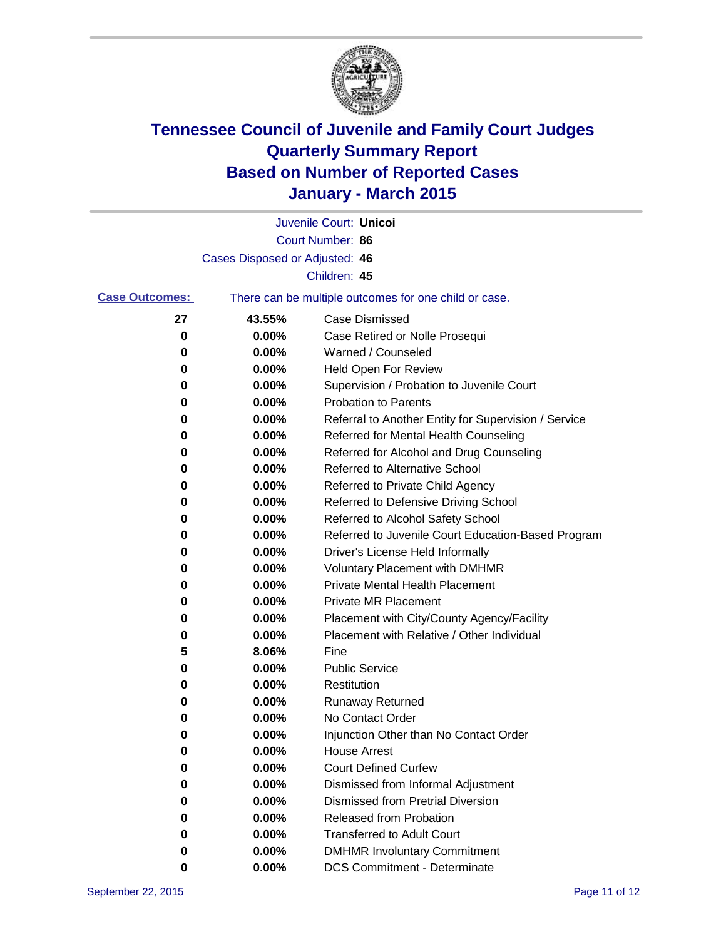

|                       |                                | Juvenile Court: Unicoi                                |
|-----------------------|--------------------------------|-------------------------------------------------------|
|                       |                                | Court Number: 86                                      |
|                       | Cases Disposed or Adjusted: 46 |                                                       |
|                       |                                | Children: 45                                          |
| <b>Case Outcomes:</b> |                                | There can be multiple outcomes for one child or case. |
| 27                    | 43.55%                         | <b>Case Dismissed</b>                                 |
| 0                     | 0.00%                          | Case Retired or Nolle Prosequi                        |
| 0                     | 0.00%                          | Warned / Counseled                                    |
| 0                     | 0.00%                          | <b>Held Open For Review</b>                           |
| 0                     | 0.00%                          | Supervision / Probation to Juvenile Court             |
| 0                     | 0.00%                          | <b>Probation to Parents</b>                           |
| 0                     | 0.00%                          | Referral to Another Entity for Supervision / Service  |
| 0                     | $0.00\%$                       | Referred for Mental Health Counseling                 |
| 0                     | 0.00%                          | Referred for Alcohol and Drug Counseling              |
| 0                     | 0.00%                          | <b>Referred to Alternative School</b>                 |
| 0                     | 0.00%                          | Referred to Private Child Agency                      |
| 0                     | 0.00%                          | Referred to Defensive Driving School                  |
| 0                     | $0.00\%$                       | Referred to Alcohol Safety School                     |
| 0                     | $0.00\%$                       | Referred to Juvenile Court Education-Based Program    |
| 0                     | 0.00%                          | Driver's License Held Informally                      |
| 0                     | 0.00%                          | <b>Voluntary Placement with DMHMR</b>                 |
| 0                     | 0.00%                          | <b>Private Mental Health Placement</b>                |
| 0                     | 0.00%                          | Private MR Placement                                  |
| 0                     | 0.00%                          | Placement with City/County Agency/Facility            |
| 0                     | 0.00%                          | Placement with Relative / Other Individual            |
| 5                     | 8.06%                          | Fine                                                  |
| 0                     | 0.00%                          | <b>Public Service</b>                                 |
| 0                     | 0.00%                          | Restitution                                           |
| 0                     | 0.00%                          | <b>Runaway Returned</b>                               |
| 0                     | 0.00%                          | No Contact Order                                      |
| 0                     | 0.00%                          | Injunction Other than No Contact Order                |
| 0                     | 0.00%                          | <b>House Arrest</b>                                   |
| 0                     | 0.00%                          | <b>Court Defined Curfew</b>                           |
| 0                     | $0.00\%$                       | Dismissed from Informal Adjustment                    |
| 0                     | 0.00%                          | <b>Dismissed from Pretrial Diversion</b>              |
| 0                     | 0.00%                          | Released from Probation                               |
| 0                     | $0.00\%$                       | <b>Transferred to Adult Court</b>                     |
| 0                     | $0.00\%$                       | <b>DMHMR Involuntary Commitment</b>                   |
| 0                     | $0.00\%$                       | <b>DCS Commitment - Determinate</b>                   |